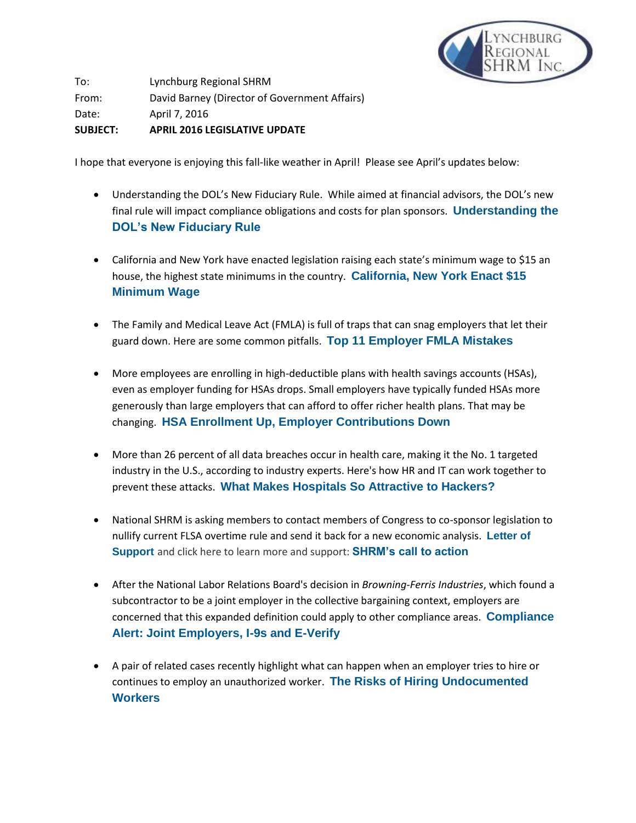

To: Lynchburg Regional SHRM From: David Barney (Director of Government Affairs) Date: April 7, 2016 **SUBJECT: APRIL 2016 LEGISLATIVE UPDATE**

I hope that everyone is enjoying this fall-like weather in April! Please see April's updates below:

- Understanding the DOL's New Fiduciary Rule. While aimed at financial advisors, the DOL's new final rule will impact compliance obligations and costs for plan sponsors. **[Understanding the](http://links.shrm.mkt6744.com/ctt?kn=36&ms=MjUxNzU4MjgS1&r=ODM1OTI1NTQyNTIS1&b=0&j=NzgxMDY3MTMyS0&mt=1&rt=0)  [DOL's New Fiduciary Rule](http://links.shrm.mkt6744.com/ctt?kn=36&ms=MjUxNzU4MjgS1&r=ODM1OTI1NTQyNTIS1&b=0&j=NzgxMDY3MTMyS0&mt=1&rt=0)**
- California and New York have enacted legislation raising each state's minimum wage to \$15 an house, the highest state minimums in the country. **[California, New York Enact \\$15](http://links.shrm.mkt6744.com/ctt?kn=35&ms=MjUxNzU4MjgS1&r=ODM1OTI1NTQyNTIS1&b=0&j=NzgxMDY3MTMyS0&mt=1&rt=0)  [Minimum Wage](http://links.shrm.mkt6744.com/ctt?kn=35&ms=MjUxNzU4MjgS1&r=ODM1OTI1NTQyNTIS1&b=0&j=NzgxMDY3MTMyS0&mt=1&rt=0)**
- The Family and Medical Leave Act (FMLA) is full of traps that can snag employers that let their guard down. Here are some common pitfalls. **[Top 11 Employer FMLA Mistakes](http://links.shrm.mkt6744.com/ctt?kn=47&ms=MjUxNzU4MjgS1&r=ODM1OTI1NTQyNTIS1&b=0&j=NzgxMDY3MTMyS0&mt=1&rt=0)**
- More employees are enrolling in high-deductible plans with health savings accounts (HSAs), even as employer funding for HSAs drops. Small employers have typically funded HSAs more generously than large employers that can afford to offer richer health plans. That may be changing. **[HSA Enrollment Up, Employer Contributions Down](http://links.shrm.mkt6744.com/ctt?kn=50&ms=MjUxNzU4MjgS1&r=ODM1OTI1NTQyNTIS1&b=0&j=NzgxMDY3MTMyS0&mt=1&rt=0)**
- More than 26 percent of all data breaches occur in health care, making it the No. 1 targeted industry in the U.S., according to industry experts. Here's how HR and IT can work together to prevent these attacks. **[What Makes Hospitals So Attractive to Hackers?](http://links.shrm.mkt6744.com/ctt?kn=40&ms=MjUxNTYzNDUS1&r=ODM1OTI1NTQyNTIS1&b=0&j=NzgwNzI4MDkyS0&mt=1&rt=0)**
- National SHRM is asking members to contact members of Congress to co-sponsor legislation to nullify current FLSA overtime rule and send it back for a new economic analysis. **[Letter of](http://links.shrm.mkt6744.com/ctt?kn=4&ms=MjUxNTQyODUS1&r=ODM1OTI1NTQyNTIS1&b=0&j=NzgwNzEzODE4S0&mt=1&rt=0)  [Support](http://links.shrm.mkt6744.com/ctt?kn=4&ms=MjUxNTQyODUS1&r=ODM1OTI1NTQyNTIS1&b=0&j=NzgwNzEzODE4S0&mt=1&rt=0)** and click here to learn more and support: **[SHRM's call to action](http://links.shrm.mkt6744.com/ctt?kn=46&ms=MjUxNTQyODUS1&r=ODM1OTI1NTQyNTIS1&b=0&j=NzgwNzEzODE4S0&mt=1&rt=0)**
- After the National Labor Relations Board's decision in *Browning-Ferris Industries*, which found a subcontractor to be a joint employer in the collective bargaining context, employers are concerned that this expanded definition could apply to other compliance areas. **[Compliance](http://links.shrm.mkt6744.com/ctt?kn=49&ms=MjUwNzM1ODIS1&r=ODM1OTI1NTQyNTIS1&b=0&j=NzY0MTA2MzY4S0&mt=1&rt=0)  [Alert: Joint Employers, I-9s and E-Verify](http://links.shrm.mkt6744.com/ctt?kn=49&ms=MjUwNzM1ODIS1&r=ODM1OTI1NTQyNTIS1&b=0&j=NzY0MTA2MzY4S0&mt=1&rt=0)**
- A pair of related cases recently highlight what can happen when an employer tries to hire or continues to employ an unauthorized worker. **[The Risks of Hiring Undocumented](http://links.shrm.mkt6744.com/ctt?kn=58&ms=MjUwNzM1ODIS1&r=ODM1OTI1NTQyNTIS1&b=0&j=NzY0MTA2MzY4S0&mt=1&rt=0)  [Workers](http://links.shrm.mkt6744.com/ctt?kn=58&ms=MjUwNzM1ODIS1&r=ODM1OTI1NTQyNTIS1&b=0&j=NzY0MTA2MzY4S0&mt=1&rt=0)**